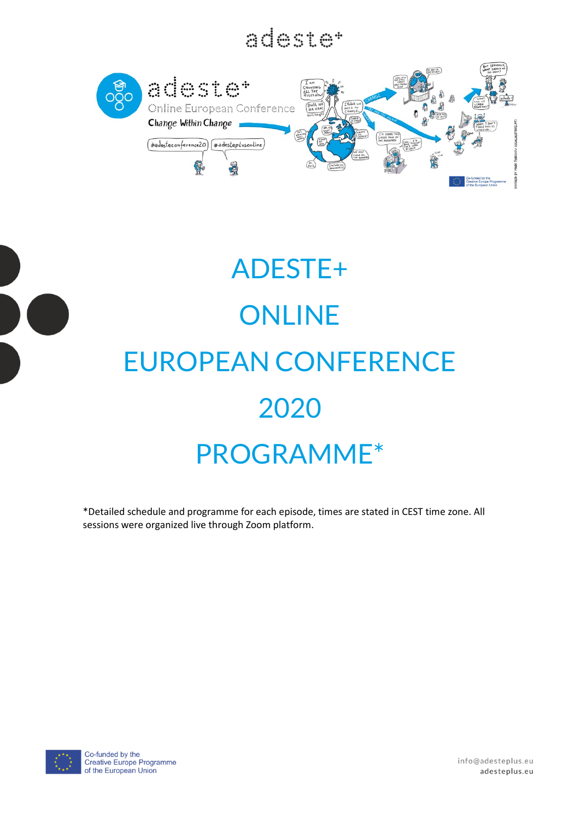a ina



# ADESTE+ **ONLINE** EUROPEAN CONFERENCE 2020 PROGRAMME\*

\*Detailed schedule and programme for each episode, times are stated in CEST time zone. All sessions were organized live through Zoom platform.



info@adesteplus.eu adesteplus.eu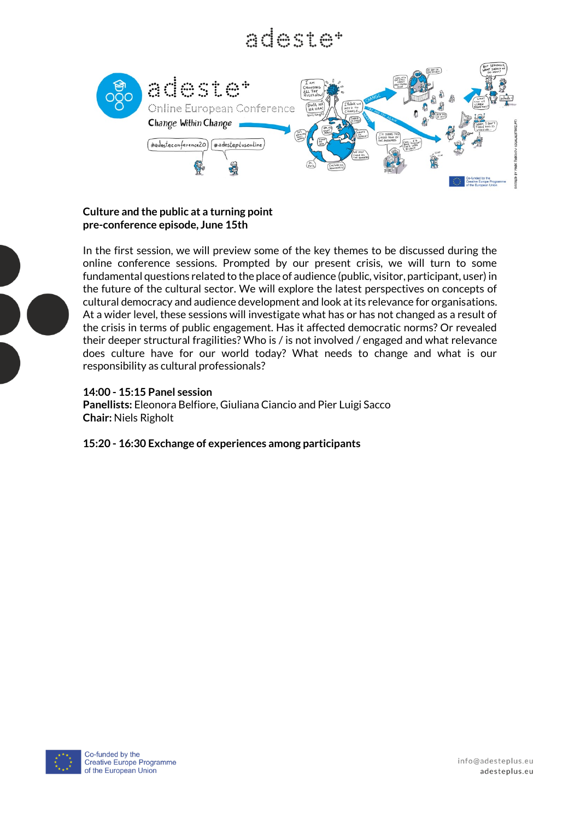### adecima



### **Culture and the public at a turning point pre-conference episode, June 15th**



In the first session, we will preview some of the key themes to be discussed during the online conference sessions. Prompted by our present crisis, we will turn to some fundamental questions related to the place of audience (public, visitor, participant, user) in the future of the cultural sector. We will explore the latest perspectives on concepts of cultural democracy and audience development and look at its relevance for organisations. At a wider level, these sessions will investigate what has or has not changed as a result of the crisis in terms of public engagement. Has it affected democratic norms? Or revealed their deeper structural fragilities? Who is / is not involved / engaged and what relevance does culture have for our world today? What needs to change and what is our responsibility as cultural professionals?

### **14:00 - 15:15 Panel session**

**Panellists:** Eleonora Belfiore, Giuliana Ciancio and Pier Luigi Sacco **Chair:** Niels Righolt

**15:20 - 16:30 Exchange of experiences among participants**

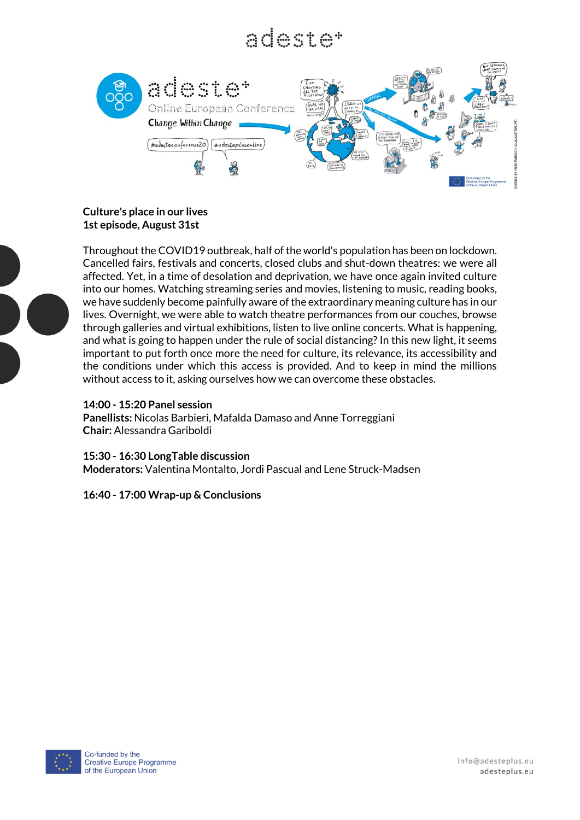### 



### **Culture's place in our lives 1st episode, August 31st**

Throughout the COVID19 outbreak, half of the world's population has been on lockdown. Cancelled fairs, festivals and concerts, closed clubs and shut-down theatres: we were all affected. Yet, in a time of desolation and deprivation, we have once again invited culture into our homes. Watching streaming series and movies, listening to music, reading books, we have suddenly become painfully aware of the extraordinary meaning culture has in our lives. Overnight, we were able to watch theatre performances from our couches, browse through galleries and virtual exhibitions, listen to live online concerts. What is happening, and what is going to happen under the rule of social distancing? In this new light, it seems important to put forth once more the need for culture, its relevance, its accessibility and the conditions under which this access is provided. And to keep in mind the millions without access to it, asking ourselves how we can overcome these obstacles.

### **14:00 - 15:20 Panel session**

**Panellists:** Nicolas Barbieri, Mafalda Damaso and Anne Torreggiani **Chair:** Alessandra Gariboldi

**15:30 - 16:30 LongTable discussion Moderators:** Valentina Montalto, Jordi Pascual and Lene Struck-Madsen

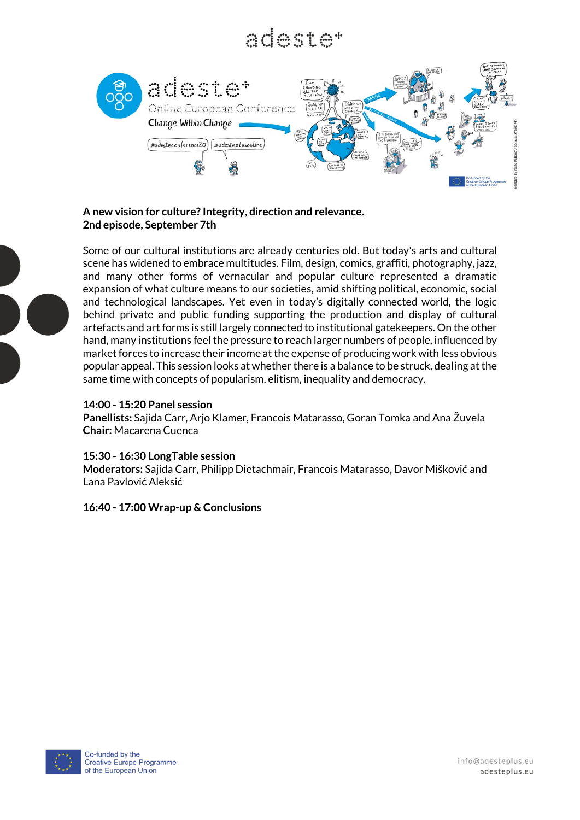### a de composição



### **A new vision for culture? Integrity, direction and relevance. 2nd episode, September 7th**

Some of our cultural institutions are already centuries old. But today's arts and cultural scene has widened to embrace multitudes. Film, design, comics, graffiti, photography, jazz, and many other forms of vernacular and popular culture represented a dramatic expansion of what culture means to our societies, amid shifting political, economic, social and technological landscapes. Yet even in today's digitally connected world, the logic behind private and public funding supporting the production and display of cultural artefacts and art forms is still largely connected to institutional gatekeepers. On the other hand, many institutions feel the pressure to reach larger numbers of people, influenced by market forces to increase their income at the expense of producing work with less obvious popular appeal. This session looks at whether there is a balance to be struck, dealing at the same time with concepts of popularism, elitism, inequality and democracy.

### **14:00 - 15:20 Panel session**

**Panellists:** Sajida Carr, Arjo Klamer, Francois Matarasso, Goran Tomka and Ana Žuvela **Chair:** Macarena Cuenca

#### **15:30 - 16:30 LongTable session**

**Moderators:** Sajida Carr, Philipp Dietachmair, Francois Matarasso, Davor Mišković and Lana Pavlović Aleksić

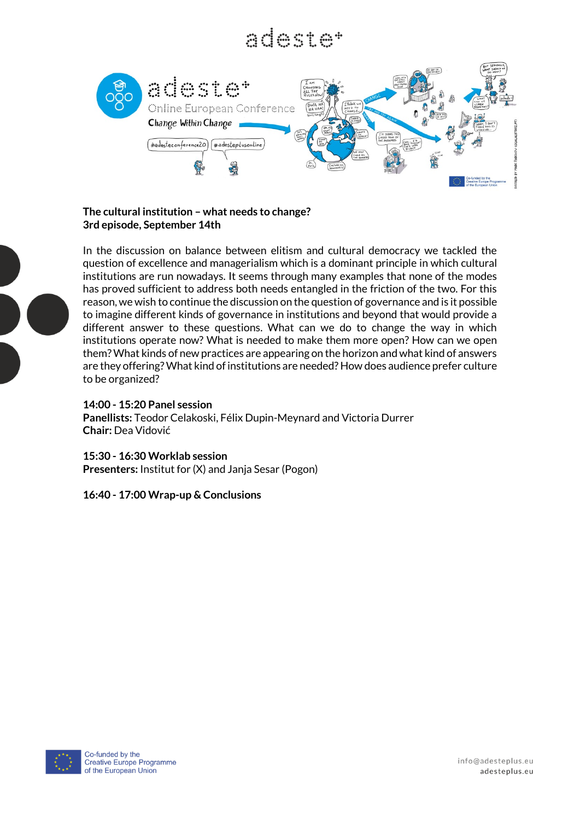### 



### **The cultural institution – what needs to change? 3rd episode, September 14th**



In the discussion on balance between elitism and cultural democracy we tackled the question of excellence and managerialism which is a dominant principle in which cultural institutions are run nowadays. It seems through many examples that none of the modes has proved sufficient to address both needs entangled in the friction of the two. For this reason, we wish to continue the discussion on the question of governance and is it possible to imagine different kinds of governance in institutions and beyond that would provide a different answer to these questions. What can we do to change the way in which institutions operate now? What is needed to make them more open? How can we open them? What kinds of new practices are appearing on the horizon and what kind of answers are they offering? What kind of institutions are needed? How does audience prefer culture to be organized?

### **14:00 - 15:20 Panel session**

**Panellists:** Teodor Celakoski, Félix Dupin-Meynard and Victoria Durrer **Chair:** Dea Vidović

**15:30 - 16:30 Worklab session Presenters:** Institut for (X) and Janja Sesar (Pogon)

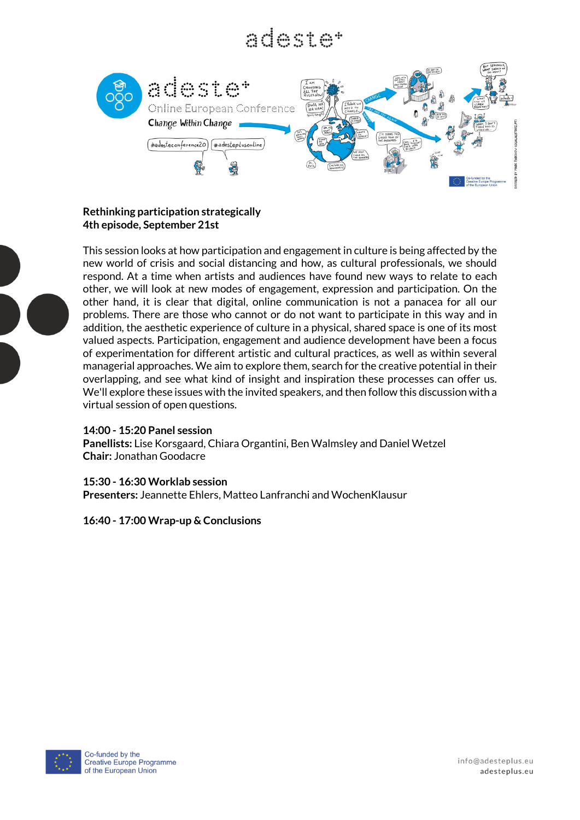### a de composição



### **Rethinking participation strategically 4th episode, September 21st**

This session looks at how participation and engagement in culture is being affected by the new world of crisis and social distancing and how, as cultural professionals, we should respond. At a time when artists and audiences have found new ways to relate to each other, we will look at new modes of engagement, expression and participation. On the other hand, it is clear that digital, online communication is not a panacea for all our problems. There are those who cannot or do not want to participate in this way and in addition, the aesthetic experience of culture in a physical, shared space is one of its most valued aspects. Participation, engagement and audience development have been a focus of experimentation for different artistic and cultural practices, as well as within several managerial approaches. We aim to explore them, search for the creative potential in their overlapping, and see what kind of insight and inspiration these processes can offer us. We'll explore these issues with the invited speakers, and then follow this discussion with a virtual session of open questions.

### **14:00 - 15:20 Panel session**

**Panellists:** Lise Korsgaard, Chiara Organtini, Ben Walmsley and Daniel Wetzel **Chair:** Jonathan Goodacre

### **15:30 - 16:30 Worklab session**

**Presenters:** Jeannette Ehlers, Matteo Lanfranchi and WochenKlausur